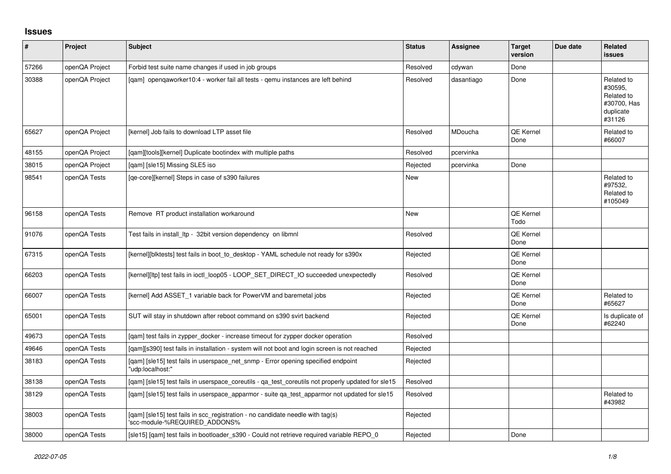## **Issues**

| $\pmb{\#}$ | Project        | <b>Subject</b>                                                                                                  | <b>Status</b> | <b>Assignee</b> | <b>Target</b><br>version | Due date | Related<br><b>issues</b>                                                  |
|------------|----------------|-----------------------------------------------------------------------------------------------------------------|---------------|-----------------|--------------------------|----------|---------------------------------------------------------------------------|
| 57266      | openQA Project | Forbid test suite name changes if used in job groups                                                            | Resolved      | cdywan          | Done                     |          |                                                                           |
| 30388      | openQA Project | [gam] opengaworker10:4 - worker fail all tests - gemu instances are left behind                                 | Resolved      | dasantiago      | Done                     |          | Related to<br>#30595,<br>Related to<br>#30700, Has<br>duplicate<br>#31126 |
| 65627      | openQA Project | [kernel] Job fails to download LTP asset file                                                                   | Resolved      | MDoucha         | QE Kernel<br>Done        |          | Related to<br>#66007                                                      |
| 48155      | openQA Project | [gam][tools][kernel] Duplicate bootindex with multiple paths                                                    | Resolved      | pcervinka       |                          |          |                                                                           |
| 38015      | openQA Project | [qam] [sle15] Missing SLE5 iso                                                                                  | Rejected      | pcervinka       | Done                     |          |                                                                           |
| 98541      | openQA Tests   | [qe-core][kernel] Steps in case of s390 failures                                                                | New           |                 |                          |          | Related to<br>#97532,<br>Related to<br>#105049                            |
| 96158      | openQA Tests   | Remove RT product installation workaround                                                                       | New           |                 | QE Kernel<br>Todo        |          |                                                                           |
| 91076      | openQA Tests   | Test fails in install Itp - 32bit version dependency on libmnl                                                  | Resolved      |                 | QE Kernel<br>Done        |          |                                                                           |
| 67315      | openQA Tests   | [kernel][blktests] test fails in boot to desktop - YAML schedule not ready for s390x                            | Rejected      |                 | QE Kernel<br>Done        |          |                                                                           |
| 66203      | openQA Tests   | [kernel][ltp] test fails in ioctl_loop05 - LOOP_SET_DIRECT_IO succeeded unexpectedly                            | Resolved      |                 | QE Kernel<br>Done        |          |                                                                           |
| 66007      | openQA Tests   | [kernel] Add ASSET_1 variable back for PowerVM and baremetal jobs                                               | Rejected      |                 | QE Kernel<br>Done        |          | Related to<br>#65627                                                      |
| 65001      | openQA Tests   | SUT will stay in shutdown after reboot command on s390 svirt backend                                            | Rejected      |                 | QE Kernel<br>Done        |          | Is duplicate of<br>#62240                                                 |
| 49673      | openQA Tests   | [gam] test fails in zypper docker - increase timeout for zypper docker operation                                | Resolved      |                 |                          |          |                                                                           |
| 49646      | openQA Tests   | [qam][s390] test fails in installation - system will not boot and login screen is not reached                   | Rejected      |                 |                          |          |                                                                           |
| 38183      | openQA Tests   | [qam] [sle15] test fails in userspace_net_snmp - Error opening specified endpoint<br>'udp:localhost:"           | Rejected      |                 |                          |          |                                                                           |
| 38138      | openQA Tests   | [qam] [sle15] test fails in userspace_coreutils - qa_test_coreutils not properly updated for sle15              | Resolved      |                 |                          |          |                                                                           |
| 38129      | openQA Tests   | [gam] [sle15] test fails in userspace apparmor - suite ga test apparmor not updated for sle15                   | Resolved      |                 |                          |          | Related to<br>#43982                                                      |
| 38003      | openQA Tests   | [gam] [sle15] test fails in scc registration - no candidate needle with tag(s)<br>'scc-module-%REQUIRED_ADDONS% | Rejected      |                 |                          |          |                                                                           |
| 38000      | openQA Tests   | [sle15] [qam] test fails in bootloader_s390 - Could not retrieve required variable REPO 0                       | Rejected      |                 | Done                     |          |                                                                           |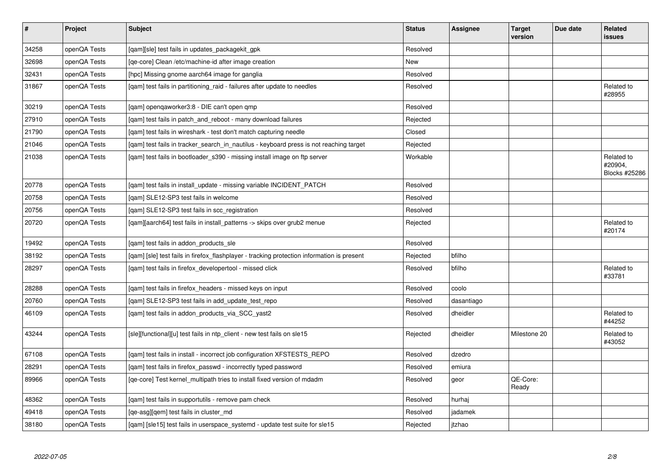| $\vert$ # | Project      | <b>Subject</b>                                                                             | <b>Status</b> | <b>Assignee</b> | <b>Target</b><br>version | Due date | Related<br>issues                      |
|-----------|--------------|--------------------------------------------------------------------------------------------|---------------|-----------------|--------------------------|----------|----------------------------------------|
| 34258     | openQA Tests | [qam][sle] test fails in updates_packagekit_gpk                                            | Resolved      |                 |                          |          |                                        |
| 32698     | openQA Tests | [qe-core] Clean /etc/machine-id after image creation                                       | <b>New</b>    |                 |                          |          |                                        |
| 32431     | openQA Tests | [hpc] Missing gnome aarch64 image for ganglia                                              | Resolved      |                 |                          |          |                                        |
| 31867     | openQA Tests | [gam] test fails in partitioning raid - failures after update to needles                   | Resolved      |                 |                          |          | Related to<br>#28955                   |
| 30219     | openQA Tests | [qam] openqaworker3:8 - DIE can't open qmp                                                 | Resolved      |                 |                          |          |                                        |
| 27910     | openQA Tests | [qam] test fails in patch_and_reboot - many download failures                              | Rejected      |                 |                          |          |                                        |
| 21790     | openQA Tests | [gam] test fails in wireshark - test don't match capturing needle                          | Closed        |                 |                          |          |                                        |
| 21046     | openQA Tests | [gam] test fails in tracker search in nautilus - keyboard press is not reaching target     | Rejected      |                 |                          |          |                                        |
| 21038     | openQA Tests | [qam] test fails in bootloader_s390 - missing install image on ftp server                  | Workable      |                 |                          |          | Related to<br>#20904,<br>Blocks #25286 |
| 20778     | openQA Tests | [qam] test fails in install_update - missing variable INCIDENT_PATCH                       | Resolved      |                 |                          |          |                                        |
| 20758     | openQA Tests | [qam] SLE12-SP3 test fails in welcome                                                      | Resolved      |                 |                          |          |                                        |
| 20756     | openQA Tests | [qam] SLE12-SP3 test fails in scc_registration                                             | Resolved      |                 |                          |          |                                        |
| 20720     | openQA Tests | [gam][aarch64] test fails in install patterns -> skips over grub2 menue                    | Rejected      |                 |                          |          | Related to<br>#20174                   |
| 19492     | openQA Tests | [gam] test fails in addon products sle                                                     | Resolved      |                 |                          |          |                                        |
| 38192     | openQA Tests | [gam] [sle] test fails in firefox flashplayer - tracking protection information is present | Rejected      | bfilho          |                          |          |                                        |
| 28297     | openQA Tests | [gam] test fails in firefox developertool - missed click                                   | Resolved      | bfilho          |                          |          | Related to<br>#33781                   |
| 28288     | openQA Tests | [qam] test fails in firefox_headers - missed keys on input                                 | Resolved      | coolo           |                          |          |                                        |
| 20760     | openQA Tests | [gam] SLE12-SP3 test fails in add update test repo                                         | Resolved      | dasantiago      |                          |          |                                        |
| 46109     | openQA Tests | [qam] test fails in addon_products_via_SCC_yast2                                           | Resolved      | dheidler        |                          |          | Related to<br>#44252                   |
| 43244     | openQA Tests | [sle][functional][u] test fails in ntp_client - new test fails on sle15                    | Rejected      | dheidler        | Milestone 20             |          | Related to<br>#43052                   |
| 67108     | openQA Tests | [qam] test fails in install - incorrect job configuration XFSTESTS_REPO                    | Resolved      | dzedro          |                          |          |                                        |
| 28291     | openQA Tests | [qam] test fails in firefox_passwd - incorrectly typed password                            | Resolved      | emiura          |                          |          |                                        |
| 89966     | openQA Tests | [ge-core] Test kernel multipath tries to install fixed version of mdadm                    | Resolved      | geor            | QE-Core:<br>Ready        |          |                                        |
| 48362     | openQA Tests | [qam] test fails in supportutils - remove pam check                                        | Resolved      | hurhai          |                          |          |                                        |
| 49418     | openQA Tests | [qe-asg][qem] test fails in cluster_md                                                     | Resolved      | jadamek         |                          |          |                                        |
| 38180     | openQA Tests | [gam] [sle15] test fails in userspace systemd - update test suite for sle15                | Rejected      | jtzhao          |                          |          |                                        |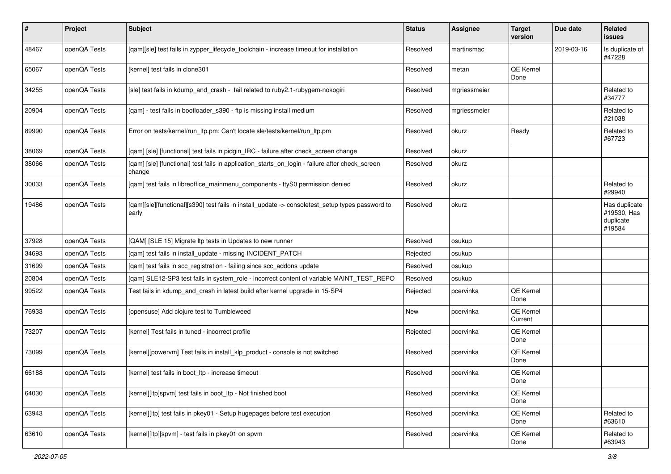| ∦     | Project      | <b>Subject</b>                                                                                            | <b>Status</b> | Assignee     | <b>Target</b><br>version | Due date   | <b>Related</b><br>issues                            |
|-------|--------------|-----------------------------------------------------------------------------------------------------------|---------------|--------------|--------------------------|------------|-----------------------------------------------------|
| 48467 | openQA Tests | [qam][sle] test fails in zypper_lifecycle_toolchain - increase timeout for installation                   | Resolved      | martinsmac   |                          | 2019-03-16 | Is duplicate of<br>#47228                           |
| 65067 | openQA Tests | [kernel] test fails in clone301                                                                           | Resolved      | metan        | QE Kernel<br>Done        |            |                                                     |
| 34255 | openQA Tests | [sle] test fails in kdump_and_crash - fail related to ruby2.1-rubygem-nokogiri                            | Resolved      | mgriessmeier |                          |            | Related to<br>#34777                                |
| 20904 | openQA Tests | [qam] - test fails in bootloader_s390 - ftp is missing install medium                                     | Resolved      | mgriessmeier |                          |            | Related to<br>#21038                                |
| 89990 | openQA Tests | Error on tests/kernel/run_ltp.pm: Can't locate sle/tests/kernel/run_ltp.pm                                | Resolved      | okurz        | Ready                    |            | Related to<br>#67723                                |
| 38069 | openQA Tests | [qam] [sle] [functional] test fails in pidgin_IRC - failure after check_screen change                     | Resolved      | okurz        |                          |            |                                                     |
| 38066 | openQA Tests | [qam] [sle] [functional] test fails in application_starts_on_login - failure after check_screen<br>change | Resolved      | okurz        |                          |            |                                                     |
| 30033 | openQA Tests | [qam] test fails in libreoffice_mainmenu_components - ttyS0 permission denied                             | Resolved      | okurz        |                          |            | Related to<br>#29940                                |
| 19486 | openQA Tests | [gam][sle][functional][s390] test fails in install_update -> consoletest_setup types password to<br>early | Resolved      | okurz        |                          |            | Has duplicate<br>#19530, Has<br>duplicate<br>#19584 |
| 37928 | openQA Tests | [QAM] [SLE 15] Migrate Itp tests in Updates to new runner                                                 | Resolved      | osukup       |                          |            |                                                     |
| 34693 | openQA Tests | [qam] test fails in install_update - missing INCIDENT_PATCH                                               | Rejected      | osukup       |                          |            |                                                     |
| 31699 | openQA Tests | [qam] test fails in scc_registration - failing since scc_addons update                                    | Resolved      | osukup       |                          |            |                                                     |
| 20804 | openQA Tests | [qam] SLE12-SP3 test fails in system_role - incorrect content of variable MAINT_TEST_REPO                 | Resolved      | osukup       |                          |            |                                                     |
| 99522 | openQA Tests | Test fails in kdump and crash in latest build after kernel upgrade in 15-SP4                              | Rejected      | pcervinka    | QE Kernel<br>Done        |            |                                                     |
| 76933 | openQA Tests | [opensuse] Add clojure test to Tumbleweed                                                                 | New           | pcervinka    | QE Kernel<br>Current     |            |                                                     |
| 73207 | openQA Tests | [kernel] Test fails in tuned - incorrect profile                                                          | Rejected      | pcervinka    | QE Kernel<br>Done        |            |                                                     |
| 73099 | openQA Tests | [kernel][powervm] Test fails in install_klp_product - console is not switched                             | Resolved      | pcervinka    | QE Kernel<br>Done        |            |                                                     |
| 66188 | openQA Tests | [kernel] test fails in boot_ltp - increase timeout                                                        | Resolved      | pcervinka    | QE Kernel<br>Done        |            |                                                     |
| 64030 | openQA Tests | [kernel][ltp]spvm] test fails in boot_ltp - Not finished boot                                             | Resolved      | pcervinka    | QE Kernel<br>Done        |            |                                                     |
| 63943 | openQA Tests | [kernel][ltp] test fails in pkey01 - Setup hugepages before test execution                                | Resolved      | pcervinka    | QE Kernel<br>Done        |            | Related to<br>#63610                                |
| 63610 | openQA Tests | [kernel][ltp][spvm] - test fails in pkey01 on spvm                                                        | Resolved      | pcervinka    | QE Kernel<br>Done        |            | Related to<br>#63943                                |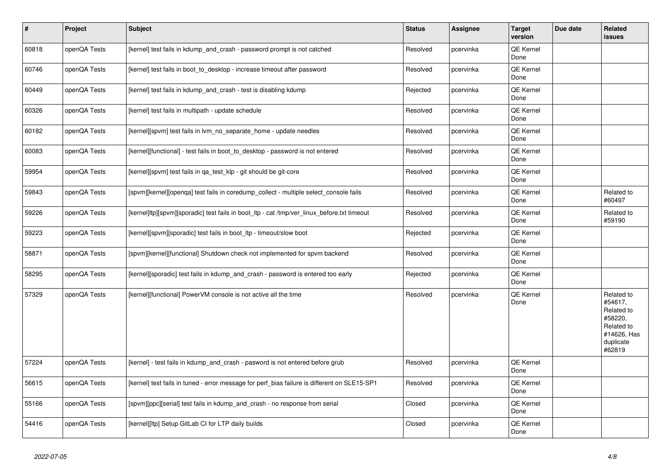| $\vert$ # | <b>Project</b> | <b>Subject</b>                                                                               | <b>Status</b> | Assignee  | <b>Target</b><br>version | Due date | Related<br><b>issues</b>                                                                           |
|-----------|----------------|----------------------------------------------------------------------------------------------|---------------|-----------|--------------------------|----------|----------------------------------------------------------------------------------------------------|
| 60818     | openQA Tests   | [kernel] test fails in kdump_and_crash - password prompt is not catched                      | Resolved      | pcervinka | QE Kernel<br>Done        |          |                                                                                                    |
| 60746     | openQA Tests   | [kernel] test fails in boot_to_desktop - increase timeout after password                     | Resolved      | pcervinka | QE Kernel<br>Done        |          |                                                                                                    |
| 60449     | openQA Tests   | [kernel] test fails in kdump and crash - test is disabling kdump                             | Rejected      | pcervinka | QE Kernel<br>Done        |          |                                                                                                    |
| 60326     | openQA Tests   | [kernel] test fails in multipath - update schedule                                           | Resolved      | pcervinka | <b>QE Kernel</b><br>Done |          |                                                                                                    |
| 60182     | openQA Tests   | [kernel][spvm] test fails in lvm_no_separate_home - update needles                           | Resolved      | pcervinka | QE Kernel<br>Done        |          |                                                                                                    |
| 60083     | openQA Tests   | [kernel][functional] - test fails in boot to desktop - password is not entered               | Resolved      | pcervinka | <b>QE Kernel</b><br>Done |          |                                                                                                    |
| 59954     | openQA Tests   | [kernel][spvm] test fails in qa_test_klp - git should be git-core                            | Resolved      | pcervinka | QE Kernel<br>Done        |          |                                                                                                    |
| 59843     | openQA Tests   | [spvm][kernel][openqa] test fails in coredump_collect - multiple select_console fails        | Resolved      | pcervinka | <b>QE Kernel</b><br>Done |          | Related to<br>#60497                                                                               |
| 59226     | openQA Tests   | [kernel]ltp][spvm][sporadic] test fails in boot ltp - cat /tmp/ver linux before.txt timeout  | Resolved      | pcervinka | QE Kernel<br>Done        |          | Related to<br>#59190                                                                               |
| 59223     | openQA Tests   | [kernel][spvm][sporadic] test fails in boot_ltp - timeout/slow boot                          | Rejected      | pcervinka | QE Kernel<br>Done        |          |                                                                                                    |
| 58871     | openQA Tests   | [spvm][kernel][functional] Shutdown check not implemented for spvm backend                   | Resolved      | pcervinka | <b>QE Kernel</b><br>Done |          |                                                                                                    |
| 58295     | openQA Tests   | [kernel][sporadic] test fails in kdump_and_crash - password is entered too early             | Rejected      | pcervinka | <b>QE Kernel</b><br>Done |          |                                                                                                    |
| 57329     | openQA Tests   | [kernel][functional] PowerVM console is not active all the time                              | Resolved      | pcervinka | QE Kernel<br>Done        |          | Related to<br>#54617.<br>Related to<br>#58220,<br>Related to<br>#14626, Has<br>duplicate<br>#62819 |
| 57224     | openQA Tests   | [kernel] - test fails in kdump and crash - pasword is not entered before grub                | Resolved      | pcervinka | QE Kernel<br>Done        |          |                                                                                                    |
| 56615     | openQA Tests   | [kernel] test fails in tuned - error message for perf_bias failure is different on SLE15-SP1 | Resolved      | pcervinka | <b>QE Kernel</b><br>Done |          |                                                                                                    |
| 55166     | openQA Tests   | [spvm][ppc][serial] test fails in kdump_and_crash - no response from serial                  | Closed        | pcervinka | QE Kernel<br>Done        |          |                                                                                                    |
| 54416     | openQA Tests   | [kernel][ltp] Setup GitLab CI for LTP daily builds                                           | Closed        | pcervinka | QE Kernel<br>Done        |          |                                                                                                    |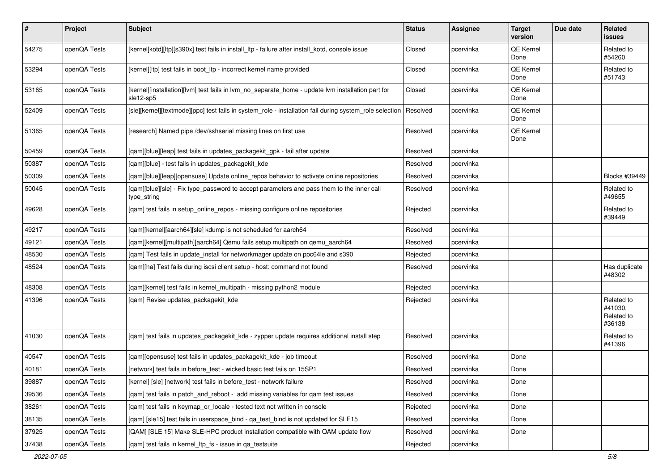| $\sharp$ | Project      | <b>Subject</b>                                                                                                 | <b>Status</b> | <b>Assignee</b> | <b>Target</b><br>version | Due date | Related<br>issues                             |
|----------|--------------|----------------------------------------------------------------------------------------------------------------|---------------|-----------------|--------------------------|----------|-----------------------------------------------|
| 54275    | openQA Tests | [kernel]kotd][ltp][s390x] test fails in install_ltp - failure after install_kotd, console issue                | Closed        | pcervinka       | QE Kernel<br>Done        |          | Related to<br>#54260                          |
| 53294    | openQA Tests | [kernel][ltp] test fails in boot_ltp - incorrect kernel name provided                                          | Closed        | pcervinka       | QE Kernel<br>Done        |          | Related to<br>#51743                          |
| 53165    | openQA Tests | [kernel][installation][lvm] test fails in lvm_no_separate_home - update lvm installation part for<br>sle12-sp5 | Closed        | pcervinka       | <b>QE Kernel</b><br>Done |          |                                               |
| 52409    | openQA Tests | [sle][kernel][textmode][ppc] test fails in system_role - installation fail during system_role selection        | Resolved      | pcervinka       | <b>QE Kernel</b><br>Done |          |                                               |
| 51365    | openQA Tests | [research] Named pipe /dev/sshserial missing lines on first use                                                | Resolved      | pcervinka       | QE Kernel<br>Done        |          |                                               |
| 50459    | openQA Tests | [qam][blue][leap] test fails in updates_packagekit_gpk - fail after update                                     | Resolved      | pcervinka       |                          |          |                                               |
| 50387    | openQA Tests | [qam][blue] - test fails in updates_packagekit_kde                                                             | Resolved      | pcervinka       |                          |          |                                               |
| 50309    | openQA Tests | [gam][blue][leap][opensuse] Update online_repos behavior to activate online repositories                       | Resolved      | pcervinka       |                          |          | Blocks #39449                                 |
| 50045    | openQA Tests | [qam][blue][sle] - Fix type_password to accept parameters and pass them to the inner call<br>type_string       | Resolved      | pcervinka       |                          |          | Related to<br>#49655                          |
| 49628    | openQA Tests | [qam] test fails in setup_online_repos - missing configure online repositories                                 | Rejected      | pcervinka       |                          |          | Related to<br>#39449                          |
| 49217    | openQA Tests | [qam][kernel][aarch64][sle] kdump is not scheduled for aarch64                                                 | Resolved      | pcervinka       |                          |          |                                               |
| 49121    | openQA Tests | [qam][kernel][multipath][aarch64] Qemu fails setup multipath on qemu_aarch64                                   | Resolved      | pcervinka       |                          |          |                                               |
| 48530    | openQA Tests | [qam] Test fails in update_install for networkmager update on ppc64le and s390                                 | Rejected      | pcervinka       |                          |          |                                               |
| 48524    | openQA Tests | [qam][ha] Test fails during iscsi client setup - host: command not found                                       | Resolved      | pcervinka       |                          |          | Has duplicate<br>#48302                       |
| 48308    | openQA Tests | [qam][kernel] test fails in kernel_multipath - missing python2 module                                          | Rejected      | pcervinka       |                          |          |                                               |
| 41396    | openQA Tests | [qam] Revise updates_packagekit_kde                                                                            | Rejected      | pcervinka       |                          |          | Related to<br>#41030,<br>Related to<br>#36138 |
| 41030    | openQA Tests | [qam] test fails in updates_packagekit_kde - zypper update requires additional install step                    | Resolved      | pcervinka       |                          |          | Related to<br>#41396                          |
| 40547    | openQA Tests | [qam][opensuse] test fails in updates_packagekit_kde - job timeout                                             | Resolved      | pcervinka       | Done                     |          |                                               |
| 40181    | openQA Tests | [network] test fails in before_test - wicked basic test fails on 15SP1                                         | Resolved      | pcervinka       | Done                     |          |                                               |
| 39887    | openQA Tests | [kernel] [sle] [network] test fails in before_test - network failure                                           | Resolved      | pcervinka       | Done                     |          |                                               |
| 39536    | openQA Tests | [qam] test fails in patch_and_reboot - add missing variables for qam test issues                               | Resolved      | pcervinka       | Done                     |          |                                               |
| 38261    | openQA Tests | [qam] test fails in keymap_or_locale - tested text not written in console                                      | Rejected      | pcervinka       | Done                     |          |                                               |
| 38135    | openQA Tests | [qam] [sle15] test fails in userspace_bind - qa_test_bind is not updated for SLE15                             | Resolved      | pcervinka       | Done                     |          |                                               |
| 37925    | openQA Tests | [QAM] [SLE 15] Make SLE-HPC product installation compatible with QAM update flow                               | Resolved      | pcervinka       | Done                     |          |                                               |
| 37438    | openQA Tests | [gam] test fails in kernel Itp fs - issue in ga testsuite                                                      | Rejected      | pcervinka       |                          |          |                                               |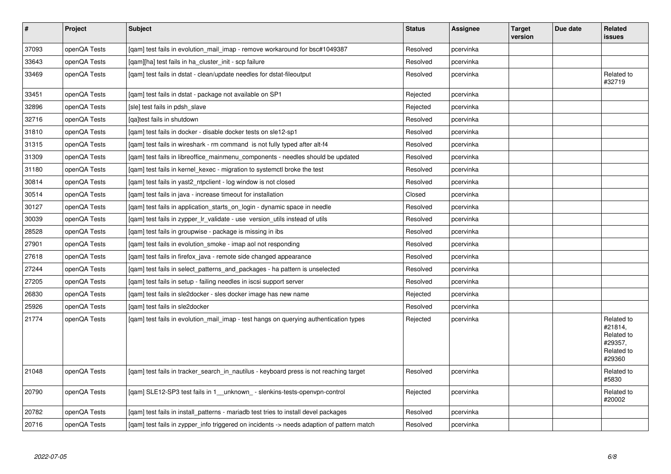| $\pmb{\#}$ | Project      | <b>Subject</b>                                                                            | <b>Status</b> | <b>Assignee</b> | <b>Target</b><br>version | Due date | Related<br><b>issues</b>                                               |
|------------|--------------|-------------------------------------------------------------------------------------------|---------------|-----------------|--------------------------|----------|------------------------------------------------------------------------|
| 37093      | openQA Tests | [qam] test fails in evolution_mail_imap - remove workaround for bsc#1049387               | Resolved      | pcervinka       |                          |          |                                                                        |
| 33643      | openQA Tests | [gam][ha] test fails in ha cluster init - scp failure                                     | Resolved      | pcervinka       |                          |          |                                                                        |
| 33469      | openQA Tests | [gam] test fails in dstat - clean/update needles for dstat-fileoutput                     | Resolved      | pcervinka       |                          |          | Related to<br>#32719                                                   |
| 33451      | openQA Tests | [gam] test fails in dstat - package not available on SP1                                  | Rejected      | pcervinka       |                          |          |                                                                        |
| 32896      | openQA Tests | [sle] test fails in pdsh slave                                                            | Rejected      | pcervinka       |                          |          |                                                                        |
| 32716      | openQA Tests | [qa]test fails in shutdown                                                                | Resolved      | pcervinka       |                          |          |                                                                        |
| 31810      | openQA Tests | [gam] test fails in docker - disable docker tests on sle12-sp1                            | Resolved      | pcervinka       |                          |          |                                                                        |
| 31315      | openQA Tests | [gam] test fails in wireshark - rm command is not fully typed after alt-f4                | Resolved      | pcervinka       |                          |          |                                                                        |
| 31309      | openQA Tests | [gam] test fails in libreoffice mainmenu components - needles should be updated           | Resolved      | pcervinka       |                          |          |                                                                        |
| 31180      | openQA Tests | [gam] test fails in kernel kexec - migration to systemctl broke the test                  | Resolved      | pcervinka       |                          |          |                                                                        |
| 30814      | openQA Tests | [gam] test fails in yast2 ntpclient - log window is not closed                            | Resolved      | pcervinka       |                          |          |                                                                        |
| 30514      | openQA Tests | [gam] test fails in java - increase timeout for installation                              | Closed        | pcervinka       |                          |          |                                                                        |
| 30127      | openQA Tests | [gam] test fails in application starts on login - dynamic space in needle                 | Resolved      | pcervinka       |                          |          |                                                                        |
| 30039      | openQA Tests | [qam] test fails in zypper_lr_validate - use version_utils instead of utils               | Resolved      | pcervinka       |                          |          |                                                                        |
| 28528      | openQA Tests | [qam] test fails in groupwise - package is missing in ibs                                 | Resolved      | pcervinka       |                          |          |                                                                        |
| 27901      | openQA Tests | [qam] test fails in evolution_smoke - imap aol not responding                             | Resolved      | pcervinka       |                          |          |                                                                        |
| 27618      | openQA Tests | [gam] test fails in firefox java - remote side changed appearance                         | Resolved      | pcervinka       |                          |          |                                                                        |
| 27244      | openQA Tests | [qam] test fails in select_patterns_and_packages - ha pattern is unselected               | Resolved      | pcervinka       |                          |          |                                                                        |
| 27205      | openQA Tests | [qam] test fails in setup - failing needles in iscsi support server                       | Resolved      | pcervinka       |                          |          |                                                                        |
| 26830      | openQA Tests | [qam] test fails in sle2docker - sles docker image has new name                           | Rejected      | pcervinka       |                          |          |                                                                        |
| 25926      | openQA Tests | [gam] test fails in sle2docker                                                            | Resolved      | pcervinka       |                          |          |                                                                        |
| 21774      | openQA Tests | [gam] test fails in evolution mail imap - test hangs on querying authentication types     | Rejected      | pcervinka       |                          |          | Related to<br>#21814,<br>Related to<br>#29357,<br>Related to<br>#29360 |
| 21048      | openQA Tests | [gam] test fails in tracker search in nautilus - keyboard press is not reaching target    | Resolved      | pcervinka       |                          |          | Related to<br>#5830                                                    |
| 20790      | openQA Tests | [gam] SLE12-SP3 test fails in 1_unknown_ - slenkins-tests-openvpn-control                 | Rejected      | pcervinka       |                          |          | Related to<br>#20002                                                   |
| 20782      | openQA Tests | [qam] test fails in install_patterns - mariadb test tries to install devel packages       | Resolved      | pcervinka       |                          |          |                                                                        |
| 20716      | openQA Tests | [gam] test fails in zypper info triggered on incidents -> needs adaption of pattern match | Resolved      | pcervinka       |                          |          |                                                                        |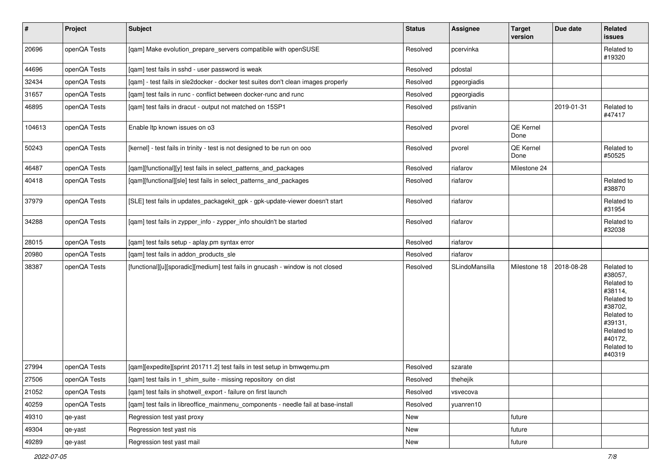| $\sharp$ | Project      | Subject                                                                           | <b>Status</b> | Assignee       | <b>Target</b><br>version | Due date   | Related<br>issues                                                                                                                                 |
|----------|--------------|-----------------------------------------------------------------------------------|---------------|----------------|--------------------------|------------|---------------------------------------------------------------------------------------------------------------------------------------------------|
| 20696    | openQA Tests | [qam] Make evolution_prepare_servers compatibile with openSUSE                    | Resolved      | pcervinka      |                          |            | Related to<br>#19320                                                                                                                              |
| 44696    | openQA Tests | [gam] test fails in sshd - user password is weak                                  | Resolved      | pdostal        |                          |            |                                                                                                                                                   |
| 32434    | openQA Tests | [qam] - test fails in sle2docker - docker test suites don't clean images properly | Resolved      | pgeorgiadis    |                          |            |                                                                                                                                                   |
| 31657    | openQA Tests | [qam] test fails in runc - conflict between docker-runc and runc                  | Resolved      | pgeorgiadis    |                          |            |                                                                                                                                                   |
| 46895    | openQA Tests | [qam] test fails in dracut - output not matched on 15SP1                          | Resolved      | pstivanin      |                          | 2019-01-31 | Related to<br>#47417                                                                                                                              |
| 104613   | openQA Tests | Enable Itp known issues on o3                                                     | Resolved      | pvorel         | QE Kernel<br>Done        |            |                                                                                                                                                   |
| 50243    | openQA Tests | [kernel] - test fails in trinity - test is not designed to be run on ooo          | Resolved      | pvorel         | QE Kernel<br>Done        |            | Related to<br>#50525                                                                                                                              |
| 46487    | openQA Tests | [qam][functional][y] test fails in select_patterns_and_packages                   | Resolved      | riafarov       | Milestone 24             |            |                                                                                                                                                   |
| 40418    | openQA Tests | [qam][functional][sle] test fails in select_patterns_and_packages                 | Resolved      | riafarov       |                          |            | Related to<br>#38870                                                                                                                              |
| 37979    | openQA Tests | [SLE] test fails in updates_packagekit_gpk - gpk-update-viewer doesn't start      | Resolved      | riafarov       |                          |            | Related to<br>#31954                                                                                                                              |
| 34288    | openQA Tests | [qam] test fails in zypper_info - zypper_info shouldn't be started                | Resolved      | riafarov       |                          |            | Related to<br>#32038                                                                                                                              |
| 28015    | openQA Tests | [qam] test fails setup - aplay.pm syntax error                                    | Resolved      | riafarov       |                          |            |                                                                                                                                                   |
| 20980    | openQA Tests | [qam] test fails in addon_products_sle                                            | Resolved      | riafarov       |                          |            |                                                                                                                                                   |
| 38387    | openQA Tests | [functional][u][sporadic][medium] test fails in gnucash - window is not closed    | Resolved      | SLindoMansilla | Milestone 18             | 2018-08-28 | Related to<br>#38057,<br>Related to<br>#38114,<br>Related to<br>#38702,<br>Related to<br>#39131,<br>Related to<br>#40172,<br>Related to<br>#40319 |
| 27994    | openQA Tests | [qam][expedite][sprint 201711.2] test fails in test setup in bmwqemu.pm           | Resolved      | szarate        |                          |            |                                                                                                                                                   |
| 27506    | openQA Tests | [qam] test fails in 1_shim_suite - missing repository on dist                     | Resolved      | thehejik       |                          |            |                                                                                                                                                   |
| 21052    | openQA Tests | [gam] test fails in shotwell export - failure on first launch                     | Resolved      | vsvecova       |                          |            |                                                                                                                                                   |
| 40259    | openQA Tests | [qam] test fails in libreoffice_mainmenu_components - needle fail at base-install | Resolved      | yuanren10      |                          |            |                                                                                                                                                   |
| 49310    | qe-yast      | Regression test yast proxy                                                        | New           |                | future                   |            |                                                                                                                                                   |
| 49304    | qe-yast      | Regression test yast nis                                                          | New           |                | future                   |            |                                                                                                                                                   |
| 49289    | qe-yast      | Regression test yast mail                                                         | New           |                | future                   |            |                                                                                                                                                   |